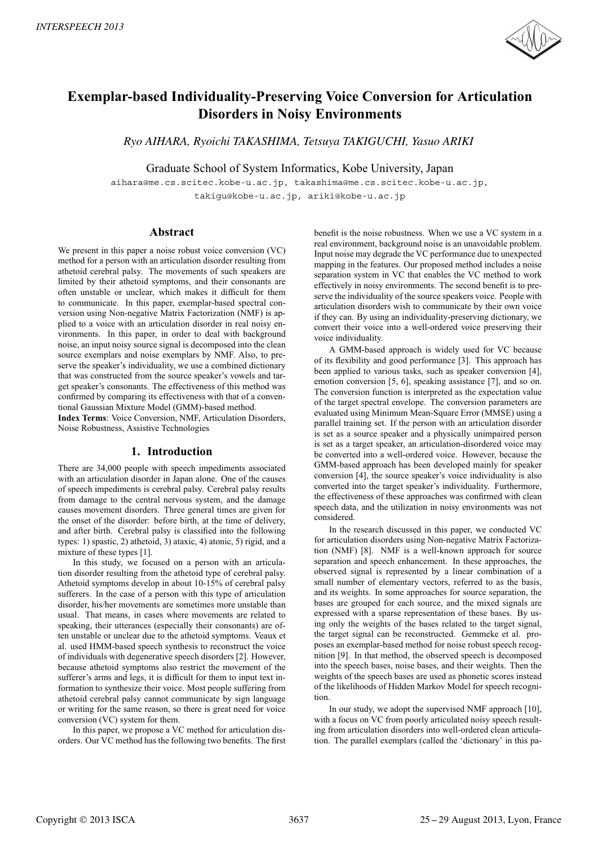

# **Exemplar-based Individuality-Preserving Voice Conversion for Articulation Disorders in Noisy Environments**

*Ryo AIHARA, Ryoichi TAKASHIMA, Tetsuya TAKIGUCHI, Yasuo ARIKI*

Graduate School of System Informatics, Kobe University, Japan

aihara $\mathcal{L}$  is taken u.ac.jp, takashima.cs.scitec.kobe-u.ac.jp, takashima.cs.scitec.kobe-u.ac.jp, takashima  $\frac{1}{2}$ 

# **Abstract**

We present in this paper a noise robust voice conversion (VC) method for a person with an articulation disorder resulting from athetoid cerebral palsy. The movements of such speakers are limited by their athetoid symptoms, and their consonants are often unstable or unclear, which makes it difficult for them to communicate. In this paper, exemplar-based spectral conversion using Non-negative Matrix Factorization (NMF) is applied to a voice with an articulation disorder in real noisy environments. In this paper, in order to deal with background noise, an input noisy source signal is decomposed into the clean source exemplars and noise exemplars by NMF. Also, to preserve the speaker's individuality, we use a combined dictionary that was constructed from the source speaker's vowels and target speaker's consonants. The effectiveness of this method was confirmed by comparing its effectiveness with that of a conventional Gaussian Mixture Model (GMM)-based method.

**Index Terms**: Voice Conversion, NMF, Articulation Disorders, Noise Robustness, Assistive Technologies

## **1. Introduction**

There are 34,000 people with speech impediments associated with an articulation disorder in Japan alone. One of the causes of speech impediments is cerebral palsy. Cerebral palsy results from damage to the central nervous system, and the damage causes movement disorders. Three general times are given for the onset of the disorder: before birth, at the time of delivery, and after birth. Cerebral palsy is classified into the following types: 1) spastic, 2) athetoid, 3) ataxic, 4) atonic, 5) rigid, and a mixture of these types [1].

In this study, we focused on a person with an articulation disorder resulting from the athetoid type of cerebral palsy. Athetoid symptoms develop in about 10-15% of cerebral palsy sufferers. In the case of a person with this type of articulation disorder, his/her movements are sometimes more unstable than usual. That means, in cases where movements are related to speaking, their utterances (especially their consonants) are often unstable or unclear due to the athetoid symptoms. Veaux et al. used HMM-based speech synthesis to reconstruct the voice of individuals with degenerative speech disorders [2]. However, because athetoid symptoms also restrict the movement of the sufferer's arms and legs, it is difficult for them to input text information to synthesize their voice. Most people suffering from athetoid cerebral palsy cannot communicate by sign language or writing for the same reason, so there is great need for voice conversion (VC) system for them.

In this paper, we propose a VC method for articulation disorders. Our VC method has the following two benefits. The first benefit is the noise robustness. When we use a VC system in a real environment, background noise is an unavoidable problem. Input noise may degrade the VC performance due to unexpected mapping in the features. Our proposed method includes a noise separation system in VC that enables the VC method to work effectively in noisy environments. The second benefit is to preserve the individuality of the source speakers voice. People with articulation disorders wish to communicate by their own voice if they can. By using an individuality-preserving dictionary, we convert their voice into a well-ordered voice preserving their voice individuality.

A GMM-based approach is widely used for VC because of its flexibility and good performance [3]. This approach has been applied to various tasks, such as speaker conversion [4], emotion conversion [5, 6], speaking assistance [7], and so on. The conversion function is interpreted as the expectation value of the target spectral envelope. The conversion parameters are evaluated using Minimum Mean-Square Error (MMSE) using a parallel training set. If the person with an articulation disorder is set as a source speaker and a physically unimpaired person is set as a target speaker, an articulation-disordered voice may be converted into a well-ordered voice. However, because the GMM-based approach has been developed mainly for speaker conversion [4], the source speaker's voice individuality is also converted into the target speaker's individuality. Furthermore, the effectiveness of these approaches was confirmed with clean speech data, and the utilization in noisy environments was not considered.

In the research discussed in this paper, we conducted VC for articulation disorders using Non-negative Matrix Factorization (NMF) [8]. NMF is a well-known approach for source separation and speech enhancement. In these approaches, the observed signal is represented by a linear combination of a small number of elementary vectors, referred to as the basis, and its weights. In some approaches for source separation, the bases are grouped for each source, and the mixed signals are expressed with a sparse representation of these bases. By using only the weights of the bases related to the target signal, the target signal can be reconstructed. Gemmeke et al. proposes an exemplar-based method for noise robust speech recognition [9]. In that method, the observed speech is decomposed into the speech bases, noise bases, and their weights. Then the weights of the speech bases are used as phonetic scores instead of the likelihoods of Hidden Markov Model for speech recognition.

In our study, we adopt the supervised NMF approach [10], with a focus on VC from poorly articulated noisy speech resulting from articulation disorders into well-ordered clean articulation. The parallel exemplars (called the 'dictionary' in this pa-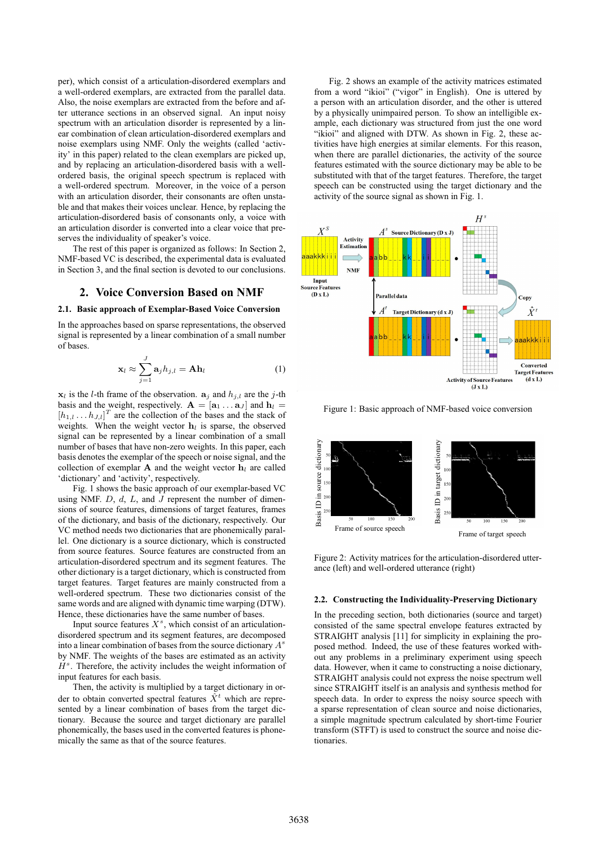per), which consist of a articulation-disordered exemplars and a well-ordered exemplars, are extracted from the parallel data. Also, the noise exemplars are extracted from the before and after utterance sections in an observed signal. An input noisy spectrum with an articulation disorder is represented by a linear combination of clean articulation-disordered exemplars and noise exemplars using NMF. Only the weights (called 'activity' in this paper) related to the clean exemplars are picked up, and by replacing an articulation-disordered basis with a wellordered basis, the original speech spectrum is replaced with a well-ordered spectrum. Moreover, in the voice of a person with an articulation disorder, their consonants are often unstable and that makes their voices unclear. Hence, by replacing the articulation-disordered basis of consonants only, a voice with an articulation disorder is converted into a clear voice that preserves the individuality of speaker's voice.

The rest of this paper is organized as follows: In Section 2, NMF-based VC is described, the experimental data is evaluated in Section 3, and the final section is devoted to our conclusions.

### **2. Voice Conversion Based on NMF**

#### **2.1. Basic approach of Exemplar-Based Voice Conversion**

In the approaches based on sparse representations, the observed signal is represented by a linear combination of a small number of bases.

$$
\mathbf{x}_{l} \approx \sum_{j=1}^{J} \mathbf{a}_{j} h_{j,l} = \mathbf{A} \mathbf{h}_{l}
$$
 (1)

 $x_l$  is the *l*-th frame of the observation.  $a_j$  and  $h_{j,l}$  are the j-th basis and the weight, respectively.  $A = [\mathbf{a}_1 \dots \mathbf{a}_J]$  and  $\mathbf{h}_l =$  $[h_{1,l} \dots h_{J,l}]^T$  are the collection of the bases and the stack of weights. When the weight vector  $\mathbf{h}_l$  is sparse, the observed signal can be represented by a linear combination of a small number of bases that have non-zero weights. In this paper, each basis denotes the exemplar of the speech or noise signal, and the collection of exemplar  $A$  and the weight vector  $h_l$  are called 'dictionary' and 'activity', respectively.

Fig. 1 shows the basic approach of our exemplar-based VC using NMF.  $D, d, L$ , and  $J$  represent the number of dimensions of source features, dimensions of target features, frames of the dictionary, and basis of the dictionary, respectively. Our VC method needs two dictionaries that are phonemically parallel. One dictionary is a source dictionary, which is constructed from source features. Source features are constructed from an articulation-disordered spectrum and its segment features. The other dictionary is a target dictionary, which is constructed from target features. Target features are mainly constructed from a well-ordered spectrum. These two dictionaries consist of the same words and are aligned with dynamic time warping (DTW). Hence, these dictionaries have the same number of bases.

Input source features  $X^s$ , which consist of an articulationdisordered spectrum and its segment features, are decomposed into a linear combination of bases from the source dictionary A*<sup>s</sup>* by NMF. The weights of the bases are estimated as an activity H*<sup>s</sup>*. Therefore, the activity includes the weight information of input features for each basis.

Then, the activity is multiplied by a target dictionary in order to obtain converted spectral features  $\hat{X}^t$  which are represented by a linear combination of bases from the target dictionary. Because the source and target dictionary are parallel phonemically, the bases used in the converted features is phonemically the same as that of the source features.

Fig. 2 shows an example of the activity matrices estimated from a word "ikioi" ("vigor" in English). One is uttered by a person with an articulation disorder, and the other is uttered by a physically unimpaired person. To show an intelligible example, each dictionary was structured from just the one word "ikioi" and aligned with DTW. As shown in Fig. 2, these activities have high energies at similar elements. For this reason, when there are parallel dictionaries, the activity of the source features estimated with the source dictionary may be able to be substituted with that of the target features. Therefore, the target speech can be constructed using the target dictionary and the activity of the source signal as shown in Fig. 1.



Figure 1: Basic approach of NMF-based voice conversion



Figure 2: Activity matrices for the articulation-disordered utterance (left) and well-ordered utterance (right)

#### **2.2. Constructing the Individuality-Preserving Dictionary**

In the preceding section, both dictionaries (source and target) consisted of the same spectral envelope features extracted by STRAIGHT analysis [11] for simplicity in explaining the proposed method. Indeed, the use of these features worked without any problems in a preliminary experiment using speech data. However, when it came to constructing a noise dictionary, STRAIGHT analysis could not express the noise spectrum well since STRAIGHT itself is an analysis and synthesis method for speech data. In order to express the noisy source speech with a sparse representation of clean source and noise dictionaries, a simple magnitude spectrum calculated by short-time Fourier transform (STFT) is used to construct the source and noise dictionaries.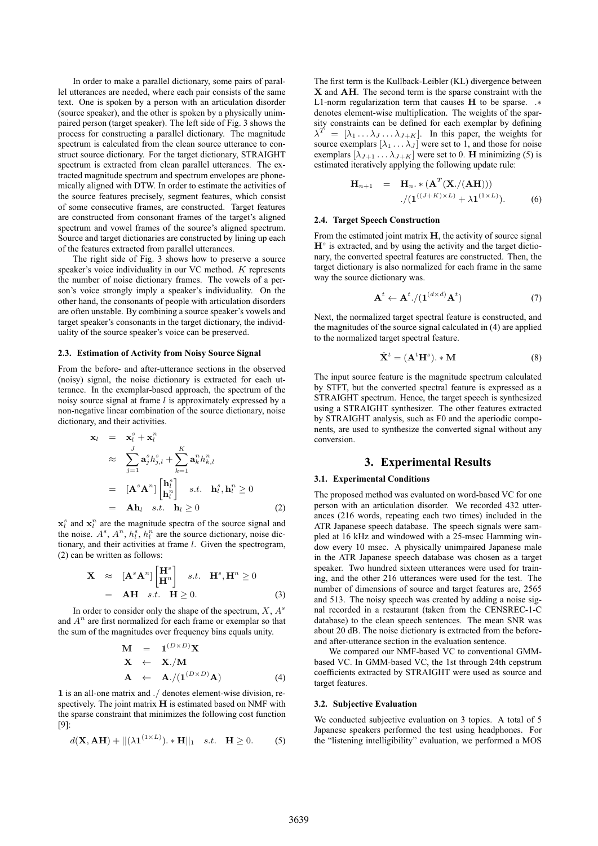In order to make a parallel dictionary, some pairs of parallel utterances are needed, where each pair consists of the same text. One is spoken by a person with an articulation disorder (source speaker), and the other is spoken by a physically unimpaired person (target speaker). The left side of Fig. 3 shows the process for constructing a parallel dictionary. The magnitude spectrum is calculated from the clean source utterance to construct source dictionary. For the target dictionary, STRAIGHT spectrum is extracted from clean parallel utterances. The extracted magnitude spectrum and spectrum envelopes are phonemically aligned with DTW. In order to estimate the activities of the source features precisely, segment features, which consist of some consecutive frames, are constructed. Target features are constructed from consonant frames of the target's aligned spectrum and vowel frames of the source's aligned spectrum. Source and target dictionaries are constructed by lining up each of the features extracted from parallel utterances.

The right side of Fig. 3 shows how to preserve a source speaker's voice individuality in our VC method. K represents the number of noise dictionary frames. The vowels of a person's voice strongly imply a speaker's individuality. On the other hand, the consonants of people with articulation disorders are often unstable. By combining a source speaker's vowels and target speaker's consonants in the target dictionary, the individuality of the source speaker's voice can be preserved.

#### **2.3. Estimation of Activity from Noisy Source Signal**

From the before- and after-utterance sections in the observed (noisy) signal, the noise dictionary is extracted for each utterance. In the exemplar-based approach, the spectrum of the noisy source signal at frame  $l$  is approximately expressed by a non-negative linear combination of the source dictionary, noise dictionary, and their activities.

$$
\mathbf{x}_{l} = \mathbf{x}_{l}^{s} + \mathbf{x}_{l}^{n}
$$
\n
$$
\approx \sum_{j=1}^{J} \mathbf{a}_{j}^{s} h_{j,l}^{s} + \sum_{k=1}^{K} \mathbf{a}_{k}^{n} h_{k,l}^{n}
$$
\n
$$
= [\mathbf{A}^{s} \mathbf{A}^{n}] \begin{bmatrix} \mathbf{h}_{l}^{s} \\ \mathbf{h}_{l}^{n} \end{bmatrix} \quad s.t. \quad \mathbf{h}_{l}^{s}, \mathbf{h}_{l}^{n} \ge 0
$$
\n
$$
= \mathbf{A} \mathbf{h}_{l} \quad s.t. \quad \mathbf{h}_{l} \ge 0 \tag{2}
$$

 $x_i^s$  and  $x_i^n$  are the magnitude spectra of the source signal and the noise.  $A^s$ ,  $A^n$ ,  $h_l^s$ ,  $h_l^n$  are the source dictionary, noise dictionary, and their activities at frame l. Given the spectrogram, (2) can be written as follows:

$$
\mathbf{X} \approx [\mathbf{A}^{s} \mathbf{A}^{n}] \begin{bmatrix} \mathbf{H}^{s} \\ \mathbf{H}^{n} \end{bmatrix} \quad s.t. \quad \mathbf{H}^{s}, \mathbf{H}^{n} \ge 0
$$
  
=  $\mathbf{A}\mathbf{H} \quad s.t. \quad \mathbf{H} \ge 0.$  (3)

In order to consider only the shape of the spectrum, X, A*<sup>s</sup>* and A*<sup>n</sup>* are first normalized for each frame or exemplar so that the sum of the magnitudes over frequency bins equals unity.

$$
\begin{array}{rcl}\nM & = & 1^{(D \times D)}X \\
X & \leftarrow & X/M \\
A & \leftarrow & A./(1^{(D \times D)}A)\n\end{array} \tag{4}
$$

**1** is an all-one matrix and ./ denotes element-wise division, respectively. The joint matrix **H** is estimated based on NMF with the sparse constraint that minimizes the following cost function [9]:

$$
d(\mathbf{X}, \mathbf{A}\mathbf{H}) + ||(\lambda \mathbf{1}^{(1 \times L)}). * \mathbf{H}||_1 \quad s.t. \quad \mathbf{H} \ge 0.
$$
 (5)

The first term is the Kullback-Leibler (KL) divergence between **X** and **AH**. The second term is the sparse constraint with the L1-norm regularization term that causes **<sup>H</sup>** to be sparse. .<sup>∗</sup> denotes element-wise multiplication. The weights of the sparsity constraints can be defined for each exemplar by defining  $\lambda^T = [\lambda_1 \dots \lambda_J \dots \lambda_{J+K}]$ . In this paper, the weights for source exemplars  $[\lambda_1 \dots \lambda_J]$  were set to 1, and those for noise exemplars  $[\lambda_{J+1} \dots \lambda_{J+K}]$  were set to 0. **H** minimizing (5) is estimated iteratively applying the following update rule:

$$
\mathbf{H}_{n+1} = \mathbf{H}_n \cdot * (\mathbf{A}^T (\mathbf{X}./(\mathbf{A} \mathbf{H}))) \n./(\mathbf{1}^{((J+K)\times L)} + \lambda \mathbf{1}^{(1\times L)}).
$$
\n(6)

#### **2.4. Target Speech Construction**

From the estimated joint matrix **H**, the activity of source signal **H***<sup>s</sup>* is extracted, and by using the activity and the target dictionary, the converted spectral features are constructed. Then, the target dictionary is also normalized for each frame in the same way the source dictionary was.

$$
\mathbf{A}^t \leftarrow \mathbf{A}^t. / (\mathbf{1}^{(d \times d)} \mathbf{A}^t)
$$
 (7)

Next, the normalized target spectral feature is constructed, and the magnitudes of the source signal calculated in (4) are applied to the normalized target spectral feature.

$$
\hat{\mathbf{X}}^t = (\mathbf{A}^t \mathbf{H}^s) \cdot \mathbf{M} \tag{8}
$$

The input source feature is the magnitude spectrum calculated by STFT, but the converted spectral feature is expressed as a STRAIGHT spectrum. Hence, the target speech is synthesized using a STRAIGHT synthesizer. The other features extracted by STRAIGHT analysis, such as F0 and the aperiodic components, are used to synthesize the converted signal without any conversion.

### **3. Experimental Results**

### **3.1. Experimental Conditions**

The proposed method was evaluated on word-based VC for one person with an articulation disorder. We recorded 432 utterances (216 words, repeating each two times) included in the ATR Japanese speech database. The speech signals were sampled at 16 kHz and windowed with a 25-msec Hamming window every 10 msec. A physically unimpaired Japanese male in the ATR Japanese speech database was chosen as a target speaker. Two hundred sixteen utterances were used for training, and the other 216 utterances were used for the test. The number of dimensions of source and target features are, 2565 and 513. The noisy speech was created by adding a noise signal recorded in a restaurant (taken from the CENSREC-1-C database) to the clean speech sentences. The mean SNR was about 20 dB. The noise dictionary is extracted from the beforeand after-utterance section in the evaluation sentence.

We compared our NMF-based VC to conventional GMMbased VC. In GMM-based VC, the 1st through 24th cepstrum coefficients extracted by STRAIGHT were used as source and target features.

#### **3.2. Subjective Evaluation**

We conducted subjective evaluation on 3 topics. A total of 5 Japanese speakers performed the test using headphones. For the "listening intelligibility" evaluation, we performed a MOS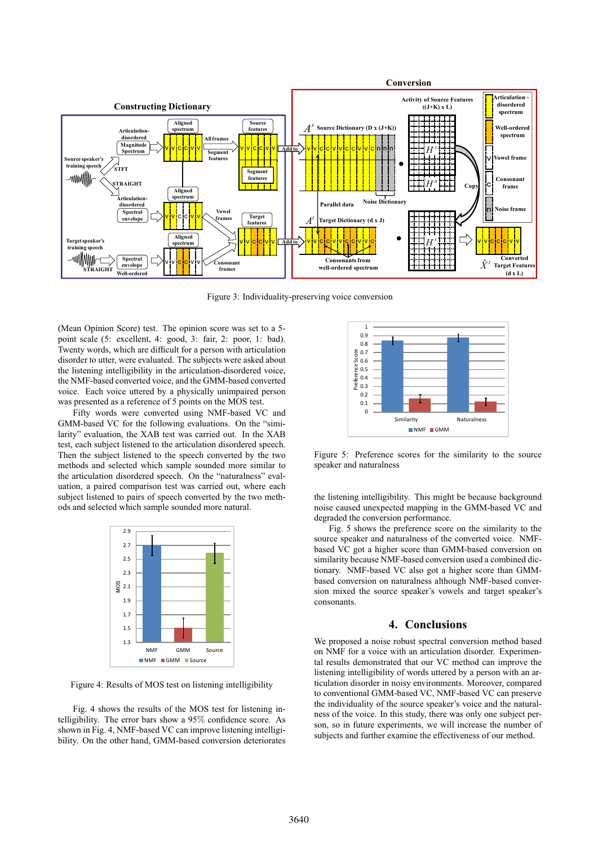

Figure 3: Individuality-preserving voice conversion

(Mean Opinion Score) test. The opinion score was set to a 5 point scale (5: excellent, 4: good, 3: fair, 2: poor, 1: bad). Twenty words, which are difficult for a person with articulation disorder to utter, were evaluated. The subjects were asked about the listening intelligibility in the articulation-disordered voice, the NMF-based converted voice, and the GMM-based converted voice. Each voice uttered by a physically unimpaired person was presented as a reference of 5 points on the MOS test.

Fifty words were converted using NMF-based VC and GMM-based VC for the following evaluations. On the "similarity" evaluation, the XAB test was carried out. In the XAB test, each subject listened to the articulation disordered speech. Then the subject listened to the speech converted by the two methods and selected which sample sounded more similar to the articulation disordered speech. On the "naturalness" evaluation, a paired comparison test was carried out, where each subject listened to pairs of speech converted by the two methods and selected which sample sounded more natural.



Figure 4: Results of MOS test on listening intelligibility

Fig. 4 shows the results of the MOS test for listening intelligibility. The error bars show a 95% confidence score. As shown in Fig. 4, NMF-based VC can improve listening intelligibility. On the other hand, GMM-based conversion deteriorates



Figure 5: Preference scores for the similarity to the source speaker and naturalness

the listening intelligibility. This might be because background noise caused unexpected mapping in the GMM-based VC and degraded the conversion performance.

Fig. 5 shows the preference score on the similarity to the source speaker and naturalness of the converted voice. NMFbased VC got a higher score than GMM-based conversion on similarity because NMF-based conversion used a combined dictionary. NMF-based VC also got a higher score than GMMbased conversion on naturalness although NMF-based conversion mixed the source speaker's vowels and target speaker's consonants.

## **4. Conclusions**

We proposed a noise robust spectral conversion method based on NMF for a voice with an articulation disorder. Experimental results demonstrated that our VC method can improve the listening intelligibility of words uttered by a person with an articulation disorder in noisy environments. Moreover, compared to conventional GMM-based VC, NMF-based VC can preserve the individuality of the source speaker's voice and the naturalness of the voice. In this study, there was only one subject person, so in future experiments, we will increase the number of subjects and further examine the effectiveness of our method.